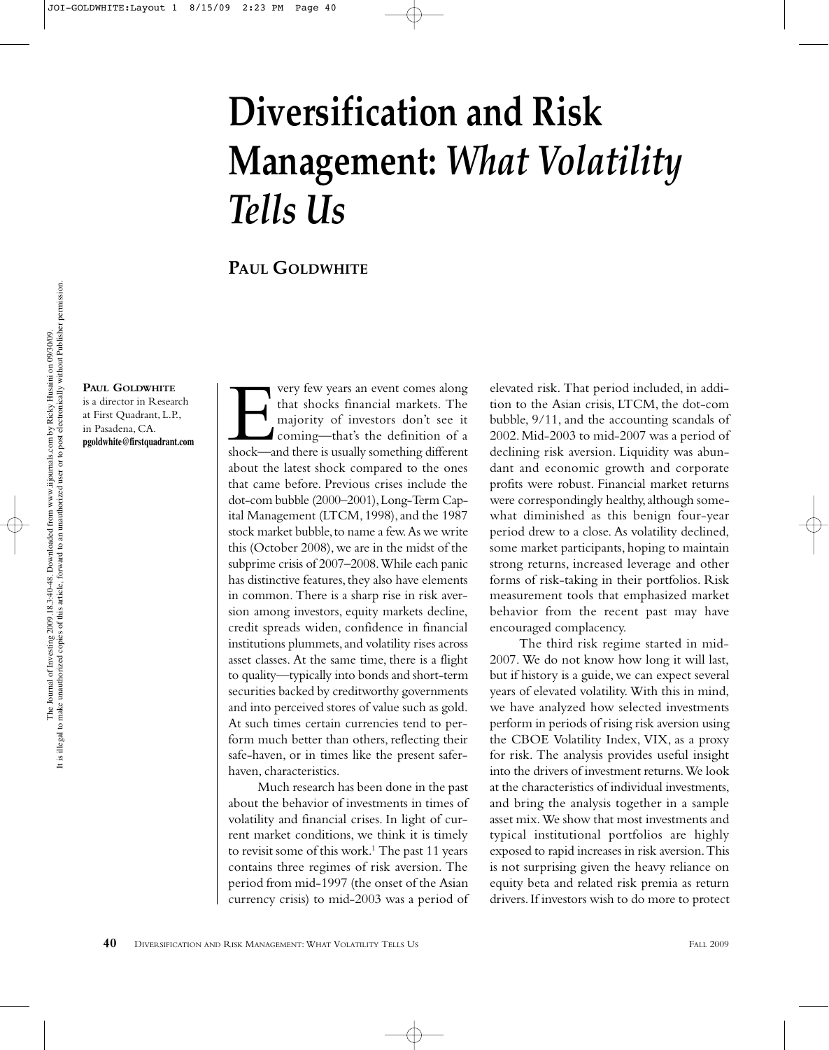# **Diversification and Risk Management:** *What Volatility Tells Us*

**PAUL GOLDWHITE**

**PAUL GOLDWHITE**

is a director in Research at First Quadrant, L.P., in Pasadena, CA. **pgoldwhite@firstquadrant.com**

very few years an event comes along<br>that shocks financial markets. The<br>majority of investors don't see it<br>coming—that's the definition of a<br>shock—and there is usually something different that shocks financial markets. The majority of investors don't see it coming—that's the definition of a about the latest shock compared to the ones that came before. Previous crises include the dot-com bubble (2000–2001), Long-Term Capital Management (LTCM, 1998), and the 1987 stock market bubble, to name a few. As we write this (October 2008), we are in the midst of the subprime crisis of 2007–2008. While each panic has distinctive features, they also have elements in common. There is a sharp rise in risk aversion among investors, equity markets decline, credit spreads widen, confidence in financial institutions plummets, and volatility rises across asset classes. At the same time, there is a flight to quality—typically into bonds and short-term securities backed by creditworthy governments and into perceived stores of value such as gold. At such times certain currencies tend to perform much better than others, reflecting their safe-haven, or in times like the present saferhaven, characteristics.

Much research has been done in the past about the behavior of investments in times of volatility and financial crises. In light of current market conditions, we think it is timely to revisit some of this work.<sup>1</sup> The past 11 years contains three regimes of risk aversion. The period from mid-1997 (the onset of the Asian currency crisis) to mid-2003 was a period of

elevated risk. That period included, in addition to the Asian crisis, LTCM, the dot-com bubble, 9/11, and the accounting scandals of 2002. Mid-2003 to mid-2007 was a period of declining risk aversion. Liquidity was abundant and economic growth and corporate profits were robust. Financial market returns were correspondingly healthy, although somewhat diminished as this benign four-year period drew to a close. As volatility declined, some market participants, hoping to maintain strong returns, increased leverage and other forms of risk-taking in their portfolios. Risk measurement tools that emphasized market behavior from the recent past may have encouraged complacency.

The third risk regime started in mid-2007. We do not know how long it will last, but if history is a guide, we can expect several years of elevated volatility. With this in mind, we have analyzed how selected investments perform in periods of rising risk aversion using the CBOE Volatility Index, VIX, as a proxy for risk. The analysis provides useful insight into the drivers of investment returns. We look at the characteristics of individual investments, and bring the analysis together in a sample asset mix. We show that most investments and typical institutional portfolios are highly exposed to rapid increases in risk aversion. This is not surprising given the heavy reliance on equity beta and related risk premia as return drivers. If investors wish to do more to protect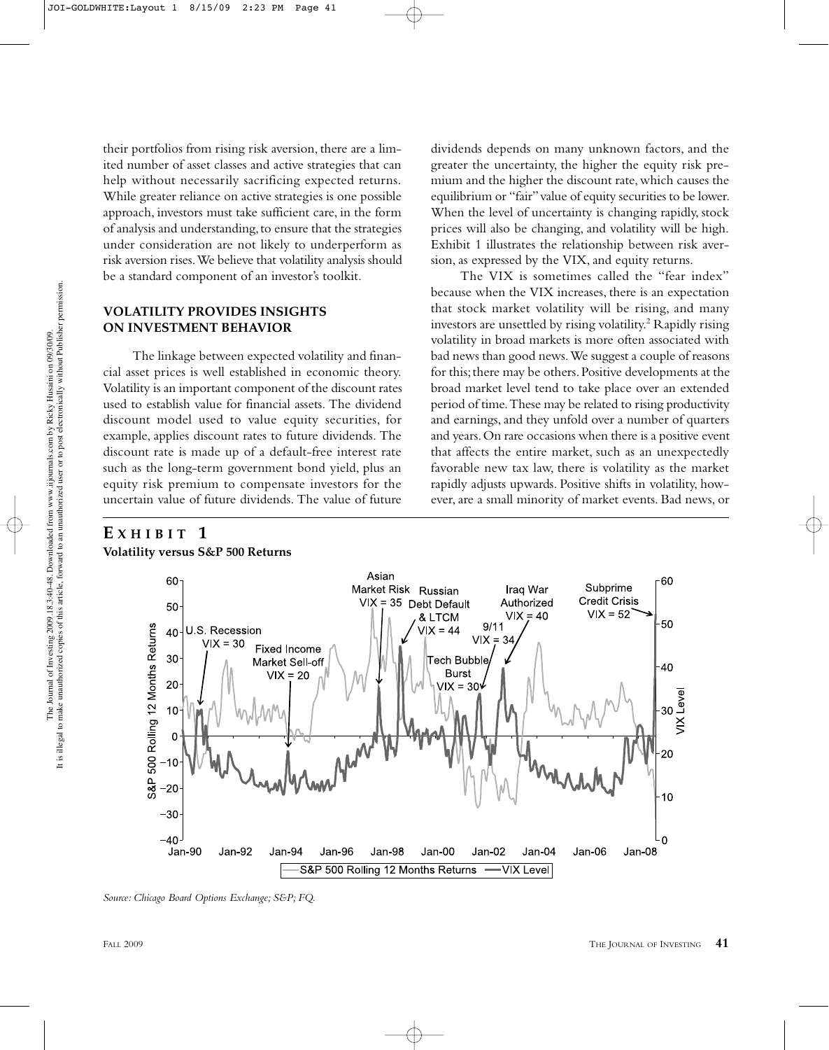their portfolios from rising risk aversion, there are a limited number of asset classes and active strategies that can help without necessarily sacrificing expected returns. While greater reliance on active strategies is one possible approach, investors must take sufficient care, in the form of analysis and understanding, to ensure that the strategies under consideration are not likely to underperform as risk aversion rises. We believe that volatility analysis should be a standard component of an investor's toolkit.

## **VOLATILITY PROVIDES INSIGHTS ON INVESTMENT BEHAVIOR**

The linkage between expected volatility and financial asset prices is well established in economic theory. Volatility is an important component of the discount rates used to establish value for financial assets. The dividend discount model used to value equity securities, for example, applies discount rates to future dividends. The discount rate is made up of a default-free interest rate such as the long-term government bond yield, plus an equity risk premium to compensate investors for the uncertain value of future dividends. The value of future

# **E XHIBIT 1**

**Volatility versus S&P 500 Returns**

dividends depends on many unknown factors, and the greater the uncertainty, the higher the equity risk premium and the higher the discount rate, which causes the equilibrium or "fair" value of equity securities to be lower. When the level of uncertainty is changing rapidly, stock prices will also be changing, and volatility will be high. Exhibit 1 illustrates the relationship between risk aversion, as expressed by the VIX, and equity returns.

The VIX is sometimes called the "fear index" because when the VIX increases, there is an expectation that stock market volatility will be rising, and many investors are unsettled by rising volatility.<sup>2</sup> Rapidly rising volatility in broad markets is more often associated with bad news than good news. We suggest a couple of reasons for this; there may be others. Positive developments at the broad market level tend to take place over an extended period of time. These may be related to rising productivity and earnings, and they unfold over a number of quarters and years. On rare occasions when there is a positive event that affects the entire market, such as an unexpectedly favorable new tax law, there is volatility as the market rapidly adjusts upwards. Positive shifts in volatility, however, are a small minority of market events. Bad news, or



*Source: Chicago Board Options Exchange; S&P; FQ.*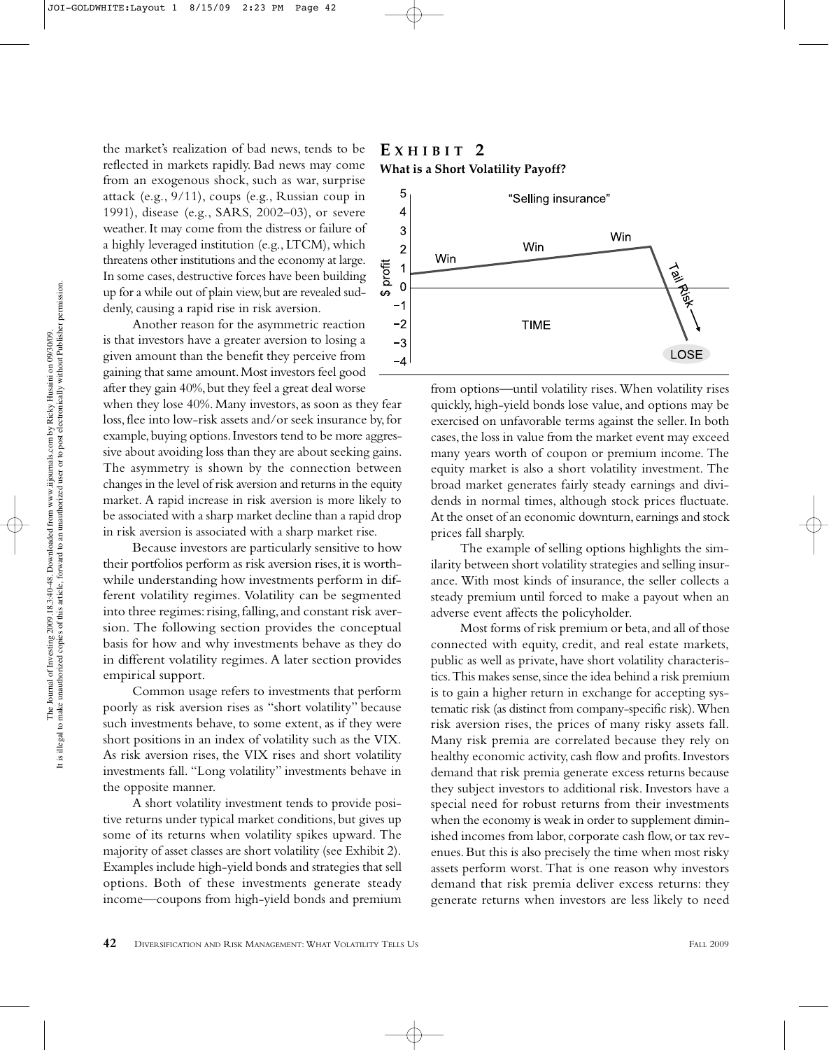the market's realization of bad news, tends to be reflected in markets rapidly. Bad news may come from an exogenous shock, such as war, surprise attack (e.g., 9/11), coups (e.g., Russian coup in 1991), disease (e.g., SARS, 2002–03), or severe weather. It may come from the distress or failure of a highly leveraged institution (e.g., LTCM), which threatens other institutions and the economy at large. In some cases, destructive forces have been building up for a while out of plain view, but are revealed suddenly, causing a rapid rise in risk aversion.

Another reason for the asymmetric reaction is that investors have a greater aversion to losing a given amount than the benefit they perceive from gaining that same amount. Most investors feel good after they gain 40%, but they feel a great deal worse

when they lose 40%. Many investors, as soon as they fear loss, flee into low-risk assets and/or seek insurance by, for example, buying options. Investors tend to be more aggressive about avoiding loss than they are about seeking gains. The asymmetry is shown by the connection between changes in the level of risk aversion and returns in the equity market. A rapid increase in risk aversion is more likely to be associated with a sharp market decline than a rapid drop in risk aversion is associated with a sharp market rise.

Because investors are particularly sensitive to how their portfolios perform as risk aversion rises, it is worthwhile understanding how investments perform in different volatility regimes. Volatility can be segmented into three regimes: rising, falling, and constant risk aversion. The following section provides the conceptual basis for how and why investments behave as they do in different volatility regimes. A later section provides empirical support.

Common usage refers to investments that perform poorly as risk aversion rises as "short volatility" because such investments behave, to some extent, as if they were short positions in an index of volatility such as the VIX. As risk aversion rises, the VIX rises and short volatility investments fall. "Long volatility" investments behave in the opposite manner.

A short volatility investment tends to provide positive returns under typical market conditions, but gives up some of its returns when volatility spikes upward. The majority of asset classes are short volatility (see Exhibit 2). Examples include high-yield bonds and strategies that sell options. Both of these investments generate steady income—coupons from high-yield bonds and premium

## **E XHIBIT 2 What is a Short Volatility Payoff?**



from options—until volatility rises. When volatility rises quickly, high-yield bonds lose value, and options may be exercised on unfavorable terms against the seller. In both cases, the loss in value from the market event may exceed many years worth of coupon or premium income. The equity market is also a short volatility investment. The broad market generates fairly steady earnings and dividends in normal times, although stock prices fluctuate. At the onset of an economic downturn, earnings and stock prices fall sharply.

The example of selling options highlights the similarity between short volatility strategies and selling insurance. With most kinds of insurance, the seller collects a steady premium until forced to make a payout when an adverse event affects the policyholder.

Most forms of risk premium or beta, and all of those connected with equity, credit, and real estate markets, public as well as private, have short volatility characteristics. This makes sense, since the idea behind a risk premium is to gain a higher return in exchange for accepting systematic risk (as distinct from company-specific risk). When risk aversion rises, the prices of many risky assets fall. Many risk premia are correlated because they rely on healthy economic activity, cash flow and profits. Investors demand that risk premia generate excess returns because they subject investors to additional risk. Investors have a special need for robust returns from their investments when the economy is weak in order to supplement diminished incomes from labor, corporate cash flow, or tax revenues. But this is also precisely the time when most risky assets perform worst. That is one reason why investors demand that risk premia deliver excess returns: they generate returns when investors are less likely to need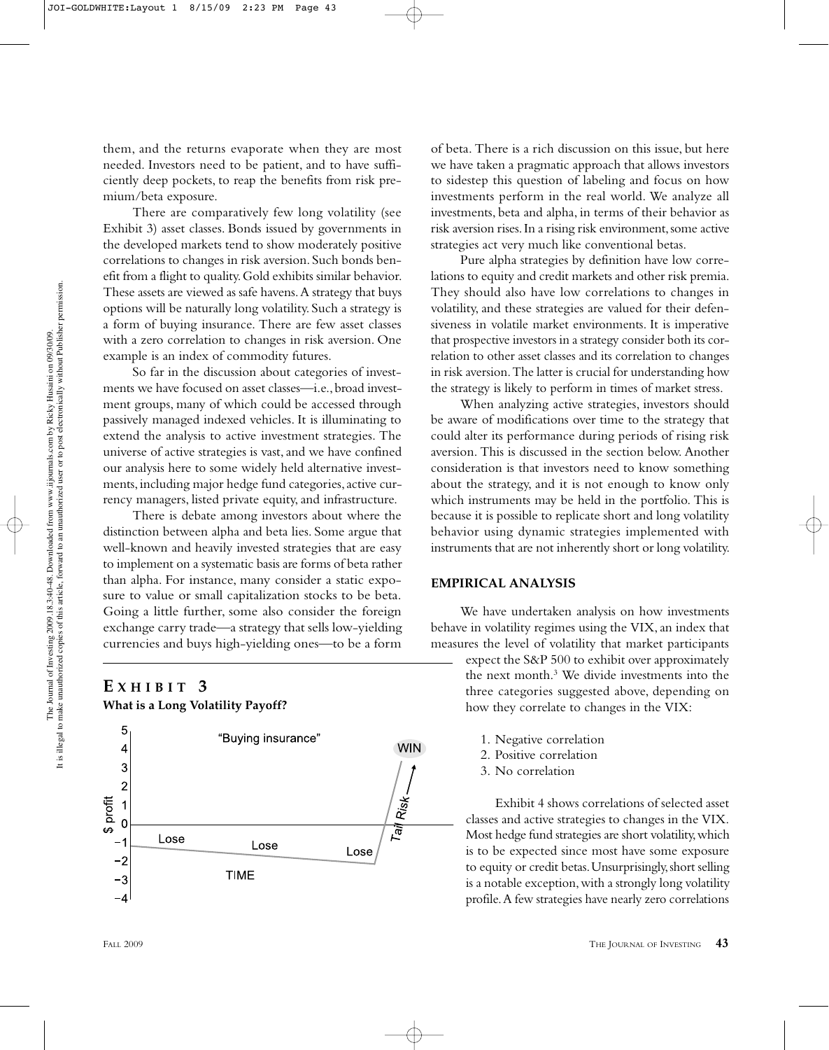them, and the returns evaporate when they are most needed. Investors need to be patient, and to have sufficiently deep pockets, to reap the benefits from risk premium/beta exposure.

There are comparatively few long volatility (see Exhibit 3) asset classes. Bonds issued by governments in the developed markets tend to show moderately positive correlations to changes in risk aversion. Such bonds benefit from a flight to quality. Gold exhibits similar behavior. These assets are viewed as safe havens. A strategy that buys options will be naturally long volatility. Such a strategy is a form of buying insurance. There are few asset classes with a zero correlation to changes in risk aversion. One example is an index of commodity futures.

So far in the discussion about categories of investments we have focused on asset classes—i.e., broad investment groups, many of which could be accessed through passively managed indexed vehicles. It is illuminating to extend the analysis to active investment strategies. The universe of active strategies is vast, and we have confined our analysis here to some widely held alternative investments, including major hedge fund categories, active currency managers, listed private equity, and infrastructure.

There is debate among investors about where the distinction between alpha and beta lies. Some argue that well-known and heavily invested strategies that are easy to implement on a systematic basis are forms of beta rather than alpha. For instance, many consider a static exposure to value or small capitalization stocks to be beta. Going a little further, some also consider the foreign exchange carry trade—a strategy that sells low-yielding currencies and buys high-yielding ones—to be a form

## **E XHIBIT 3 What is a Long Volatility Payoff?**



of beta. There is a rich discussion on this issue, but here we have taken a pragmatic approach that allows investors to sidestep this question of labeling and focus on how investments perform in the real world. We analyze all investments, beta and alpha, in terms of their behavior as risk aversion rises. In a rising risk environment, some active strategies act very much like conventional betas.

Pure alpha strategies by definition have low correlations to equity and credit markets and other risk premia. They should also have low correlations to changes in volatility, and these strategies are valued for their defensiveness in volatile market environments. It is imperative that prospective investors in a strategy consider both its correlation to other asset classes and its correlation to changes in risk aversion. The latter is crucial for understanding how the strategy is likely to perform in times of market stress.

When analyzing active strategies, investors should be aware of modifications over time to the strategy that could alter its performance during periods of rising risk aversion. This is discussed in the section below. Another consideration is that investors need to know something about the strategy, and it is not enough to know only which instruments may be held in the portfolio. This is because it is possible to replicate short and long volatility behavior using dynamic strategies implemented with instruments that are not inherently short or long volatility.

#### **EMPIRICAL ANALYSIS**

We have undertaken analysis on how investments behave in volatility regimes using the VIX, an index that measures the level of volatility that market participants

expect the S&P 500 to exhibit over approximately the next month.3 We divide investments into the three categories suggested above, depending on how they correlate to changes in the VIX:

- 1. Negative correlation
- 2. Positive correlation
- 3. No correlation

Exhibit 4 shows correlations of selected asset classes and active strategies to changes in the VIX. Most hedge fund strategies are short volatility, which is to be expected since most have some exposure to equity or credit betas. Unsurprisingly, short selling is a notable exception, with a strongly long volatility profile. A few strategies have nearly zero correlations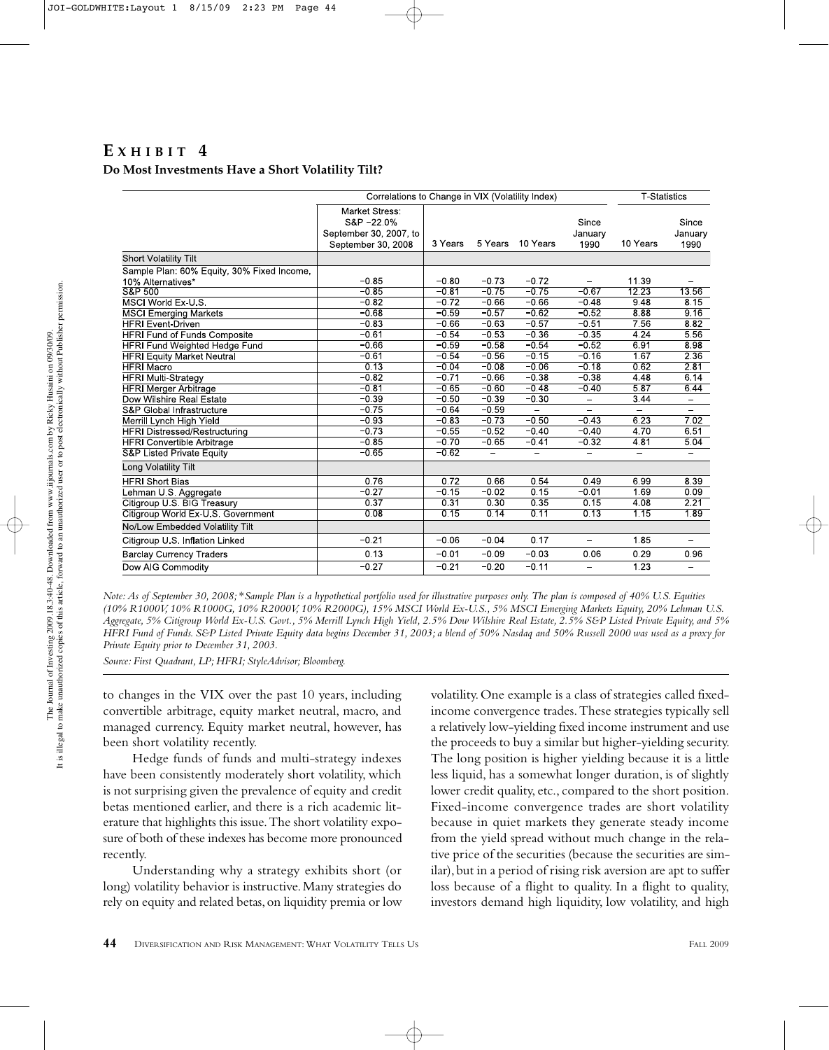# $E$ *XHIBIT* 4 **Do Most Investments Have a Short Volatility Tilt?**

|                                            | Correlations to Change in VIX (Volatility Index)                            |         |         |          |                          | <b>T</b> Statistics      |                          |
|--------------------------------------------|-----------------------------------------------------------------------------|---------|---------|----------|--------------------------|--------------------------|--------------------------|
|                                            | Market Stress:<br>S&P-22.0%<br>September 30, 2007, to<br>September 30, 2008 | 3 Years | 5 Years | 10 Years | Since<br>January<br>1990 | 10 Years                 | Since<br>January<br>1990 |
| <b>Short Volatility Tilt</b>               |                                                                             |         |         |          |                          |                          |                          |
| Sample Plan: 60% Equity, 30% Fixed Income, |                                                                             |         |         |          |                          |                          |                          |
| 10% Alternatives*                          | $-0.85$                                                                     | $-0.80$ | $-0.73$ | $-0.72$  |                          | 11.39                    |                          |
| S&P 500                                    | $-0.85$                                                                     | $-0.81$ | $-0.75$ | $-0.75$  | $-0.67$                  | 12.23                    | 1356                     |
| MSCI World Ex-U.S.                         | $-0.82$                                                                     | $-0.72$ | $-0.66$ | $-0.66$  | $-0.48$                  | 9.48                     | 8.15                     |
| <b>MSCI Emerging Markets</b>               | $-0.68$                                                                     | $-0.59$ | $-0.57$ | $-0.62$  | $-0.52$                  | 8.88                     | 9,16                     |
| <b>HFRI Event-Driven</b>                   | $-0.83$                                                                     | $-0.66$ | $-0.63$ | $-0.57$  | $-0.51$                  | 7.56                     | 8.82                     |
| <b>HFRI Fund of Funds Composite</b>        | $-0.61$                                                                     | $-0.54$ | $-0.53$ | $-0.36$  | $-0.35$                  | 4.24                     | 5.56                     |
| <b>HFRI Fund Weighted Hedge Fund</b>       | $-0.66$                                                                     | $-0.59$ | $-0.58$ | $-0.54$  | $-0.52$                  | 6.91                     | 8.98                     |
| <b>HFRI Equity Market Neutral</b>          | $-0.61$                                                                     | $-0.54$ | $-0.56$ | $-0.15$  | $-0.16$                  | 1.67                     | 2 3 6                    |
| <b>HFRI Macro</b>                          | 0.13                                                                        | $-0.04$ | $-0.08$ | $-0.06$  | $-0.18$                  | 0.62                     | 2.81                     |
| <b>HFRI Multi-Strategy</b>                 | $-0.82$                                                                     | $-0.71$ | $-0.66$ | $-0.38$  | $-0.38$                  | 4.48                     | 6.14                     |
| <b>HFRI Merger Arbitrage</b>               | $-0.81$                                                                     | $-0.65$ | $-0.60$ | $-0.48$  | $-0.40$                  | 5.87                     | 6.44                     |
| Dow Wilshire Real Estate                   | $-0.39$                                                                     | $-0.50$ | $-0.39$ | $-0.30$  | $\equiv$                 | 3.44                     | -                        |
| S&P Global Infrastructure                  | $-0.75$                                                                     | $-0.64$ | $-0.59$ | $\equiv$ | ÷.                       | $\equiv$                 |                          |
| Merrill Lynch High Yield                   | $-0.93$                                                                     | $-0.83$ | $-0.73$ | $-0.50$  | $-0.43$                  | 6.23                     | 7.02                     |
| <b>HFRI Distressed/Restructuring</b>       | $-0.73$                                                                     | $-0.55$ | $-0.52$ | $-0.40$  | $-0.40$                  | 4.70                     | 6.51                     |
| <b>HFRI Convertible Arbitrage</b>          | $-0.85$                                                                     | $-0.70$ | $-0.65$ | $-0.41$  | $-0.32$                  | 4.81                     | 5.04                     |
| <b>S&amp;P Listed Private Equity</b>       | $-0.65$                                                                     | $-0.62$ | ÷       |          |                          | $\overline{\phantom{0}}$ |                          |
| Long Volatility Tilt                       |                                                                             |         |         |          |                          |                          |                          |
| <b>HFRI Short Bias</b>                     | 0.76                                                                        | 0.72    | 0.66    | 0.54     | 0.49                     | 6.99                     | 8.39                     |
| Lehman U.S. Aggregate                      | $-0.27$                                                                     | $-0.15$ | $-0.02$ | 0.15     | $-0.01$                  | 1.69                     | 0.09                     |
| Citigroup U.S. BIG Treasury                | 0.37                                                                        | 0.31    | 0.30    | 0.35     | 0.15                     | 4.08                     | 2.21                     |
| Citigroup World Ex-U.S. Government         | 0.08                                                                        | 0.15    | 0.14    | 0.11     | 0.13                     | 1.15                     | 1.89                     |
| No/Low Embedded Volatility Tilt            |                                                                             |         |         |          |                          |                          |                          |
| Citigroup U.S. Inflation Linked            | $-0.21$                                                                     | $-0.06$ | $-0.04$ | 0.17     | ÷.                       | 1.85                     | $\overline{\phantom{0}}$ |
| <b>Barclay Currency Traders</b>            | 0.13                                                                        | $-0.01$ | $-0.09$ | $-0.03$  | 0.06                     | 0.29                     | 0.96                     |
| Dow AIG Commodity                          | $-0.27$                                                                     | $-0.21$ | $-0.20$ | $-0.11$  | $\overline{\phantom{0}}$ | 1.23                     |                          |

*Note: As of September 30, 2008;* \**Sample Plan is a hypothetical portfolio used for illustrative purposes only. The plan is composed of 40% U.S. Equities (10% R1000V, 10% R1000G, 10% R2000V, 10% R2000G), 15% MSCI World Ex-U.S., 5% MSCI Emerging Markets Equity, 20% Lehman U.S. Aggregate, 5% Citigroup World Ex-U.S. Govt., 5% Merrill Lynch High Yield, 2.5% Dow Wilshire Real Estate, 2.5% S&P Listed Private Equity, and 5% HFRI Fund of Funds. S&P Listed Private Equity data begins December 31, 2003; a blend of 50% Nasdaq and 50% Russell 2000 was used as a proxy for Private Equity prior to December 31, 2003.*

*Source: First Quadrant, LP; HFRI; StyleAdvisor; Bloomberg.*

to changes in the VIX over the past 10 years, including convertible arbitrage, equity market neutral, macro, and managed currency. Equity market neutral, however, has been short volatility recently.

Hedge funds of funds and multi-strategy indexes have been consistently moderately short volatility, which is not surprising given the prevalence of equity and credit betas mentioned earlier, and there is a rich academic literature that highlights this issue. The short volatility exposure of both of these indexes has become more pronounced recently.

Understanding why a strategy exhibits short (or long) volatility behavior is instructive. Many strategies do rely on equity and related betas, on liquidity premia or low

volatility. One example is a class of strategies called fixedincome convergence trades. These strategies typically sell a relatively low-yielding fixed income instrument and use the proceeds to buy a similar but higher-yielding security. The long position is higher yielding because it is a little less liquid, has a somewhat longer duration, is of slightly lower credit quality, etc., compared to the short position. Fixed-income convergence trades are short volatility because in quiet markets they generate steady income from the yield spread without much change in the relative price of the securities (because the securities are similar), but in a period of rising risk aversion are apt to suffer loss because of a flight to quality. In a flight to quality, investors demand high liquidity, low volatility, and high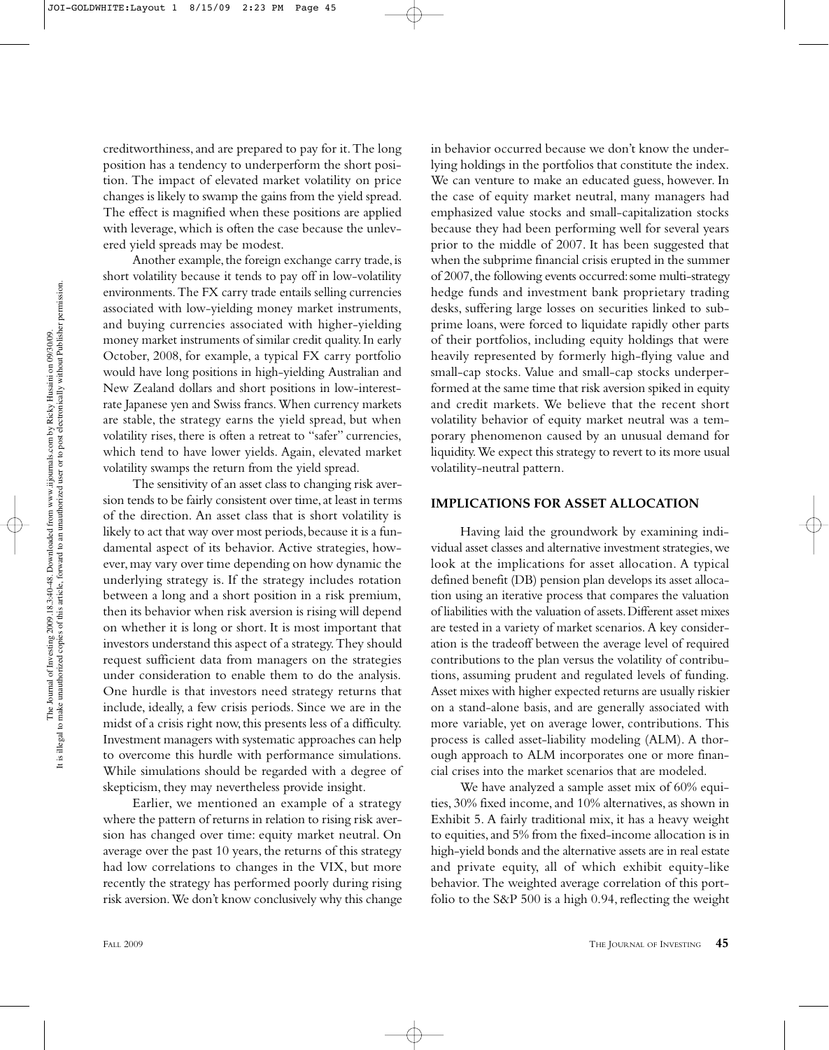creditworthiness, and are prepared to pay for it. The long position has a tendency to underperform the short position. The impact of elevated market volatility on price changes is likely to swamp the gains from the yield spread. The effect is magnified when these positions are applied with leverage, which is often the case because the unlevered yield spreads may be modest.

Another example, the foreign exchange carry trade, is short volatility because it tends to pay off in low-volatility environments. The FX carry trade entails selling currencies associated with low-yielding money market instruments, and buying currencies associated with higher-yielding money market instruments of similar credit quality. In early October, 2008, for example, a typical FX carry portfolio would have long positions in high-yielding Australian and New Zealand dollars and short positions in low-interestrate Japanese yen and Swiss francs. When currency markets are stable, the strategy earns the yield spread, but when volatility rises, there is often a retreat to "safer" currencies, which tend to have lower yields. Again, elevated market volatility swamps the return from the yield spread.

The sensitivity of an asset class to changing risk aversion tends to be fairly consistent over time, at least in terms of the direction. An asset class that is short volatility is likely to act that way over most periods, because it is a fundamental aspect of its behavior. Active strategies, however, may vary over time depending on how dynamic the underlying strategy is. If the strategy includes rotation between a long and a short position in a risk premium, then its behavior when risk aversion is rising will depend on whether it is long or short. It is most important that investors understand this aspect of a strategy. They should request sufficient data from managers on the strategies under consideration to enable them to do the analysis. One hurdle is that investors need strategy returns that include, ideally, a few crisis periods. Since we are in the midst of a crisis right now, this presents less of a difficulty. Investment managers with systematic approaches can help to overcome this hurdle with performance simulations. While simulations should be regarded with a degree of skepticism, they may nevertheless provide insight.

Earlier, we mentioned an example of a strategy where the pattern of returns in relation to rising risk aversion has changed over time: equity market neutral. On average over the past 10 years, the returns of this strategy had low correlations to changes in the VIX, but more recently the strategy has performed poorly during rising risk aversion. We don't know conclusively why this change

in behavior occurred because we don't know the underlying holdings in the portfolios that constitute the index. We can venture to make an educated guess, however. In the case of equity market neutral, many managers had emphasized value stocks and small-capitalization stocks because they had been performing well for several years prior to the middle of 2007. It has been suggested that when the subprime financial crisis erupted in the summer of 2007, the following events occurred: some multi-strategy hedge funds and investment bank proprietary trading desks, suffering large losses on securities linked to subprime loans, were forced to liquidate rapidly other parts of their portfolios, including equity holdings that were heavily represented by formerly high-flying value and small-cap stocks. Value and small-cap stocks underperformed at the same time that risk aversion spiked in equity and credit markets. We believe that the recent short volatility behavior of equity market neutral was a temporary phenomenon caused by an unusual demand for liquidity. We expect this strategy to revert to its more usual volatility-neutral pattern.

#### **IMPLICATIONS FOR ASSET ALLOCATION**

Having laid the groundwork by examining individual asset classes and alternative investment strategies, we look at the implications for asset allocation. A typical defined benefit (DB) pension plan develops its asset allocation using an iterative process that compares the valuation of liabilities with the valuation of assets. Different asset mixes are tested in a variety of market scenarios. A key consideration is the tradeoff between the average level of required contributions to the plan versus the volatility of contributions, assuming prudent and regulated levels of funding. Asset mixes with higher expected returns are usually riskier on a stand-alone basis, and are generally associated with more variable, yet on average lower, contributions. This process is called asset-liability modeling (ALM). A thorough approach to ALM incorporates one or more financial crises into the market scenarios that are modeled.

We have analyzed a sample asset mix of 60% equities, 30% fixed income, and 10% alternatives, as shown in Exhibit 5. A fairly traditional mix, it has a heavy weight to equities, and 5% from the fixed-income allocation is in high-yield bonds and the alternative assets are in real estate and private equity, all of which exhibit equity-like behavior. The weighted average correlation of this portfolio to the S&P 500 is a high 0.94, reflecting the weight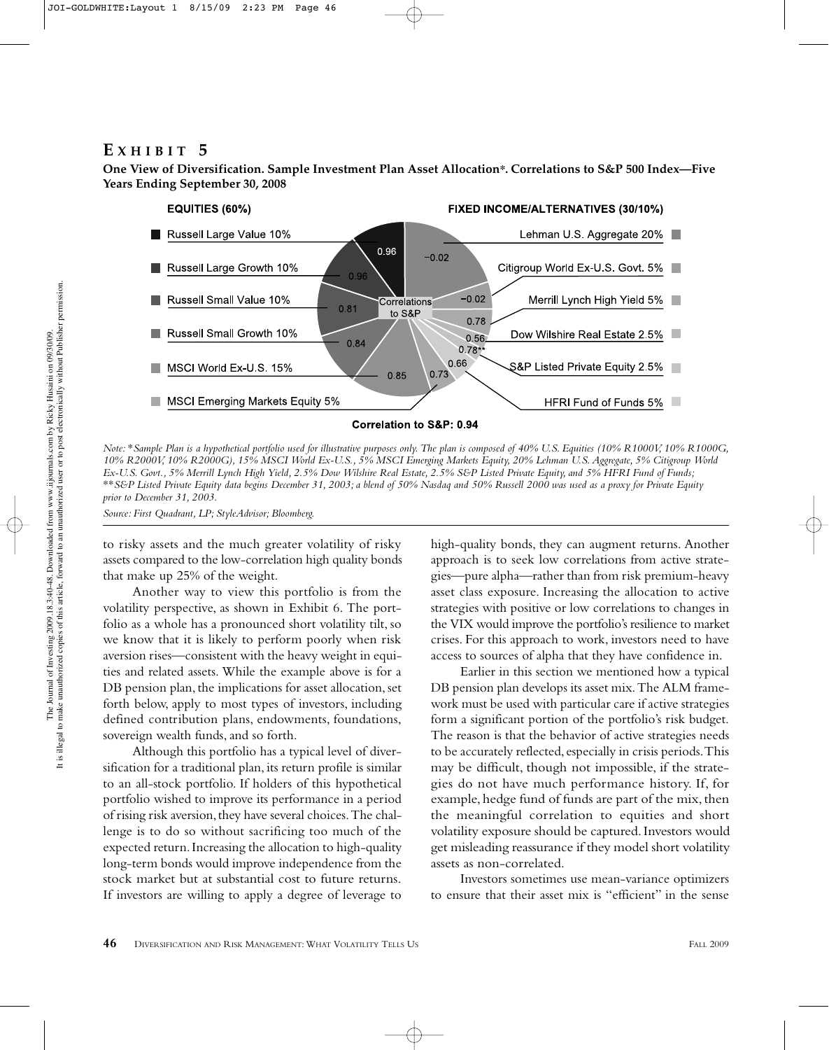## **E XHIBIT 5**

**One View of Diversification. Sample Investment Plan Asset Allocation\*. Correlations to S&P 500 Index—Five Years Ending September 30, 2008**



*Note:* \**Sample Plan is a hypothetical portfolio used for illustrative purposes only. The plan is composed of 40% U.S. Equities (10% R1000V, 10% R1000G, 10% R2000V, 10% R2000G), 15% MSCI World Ex-U.S., 5% MSCI Emerging Markets Equity, 20% Lehman U.S. Aggregate, 5% Citigroup World Ex-U.S. Govt., 5% Merrill Lynch High Yield, 2.5% Dow Wilshire Real Estate, 2.5% S&P Listed Private Equity, and 5% HFRI Fund of Funds;* \*\**S&P Listed Private Equity data begins December 31, 2003; a blend of 50% Nasdaq and 50% Russell 2000 was used as a proxy for Private Equity prior to December 31, 2003.*

*Source: First Quadrant, LP; StyleAdvisor; Bloomberg.*

to risky assets and the much greater volatility of risky assets compared to the low-correlation high quality bonds that make up 25% of the weight.

Another way to view this portfolio is from the volatility perspective, as shown in Exhibit 6. The portfolio as a whole has a pronounced short volatility tilt, so we know that it is likely to perform poorly when risk aversion rises—consistent with the heavy weight in equities and related assets. While the example above is for a DB pension plan, the implications for asset allocation, set forth below, apply to most types of investors, including defined contribution plans, endowments, foundations, sovereign wealth funds, and so forth.

Although this portfolio has a typical level of diversification for a traditional plan, its return profile is similar to an all-stock portfolio. If holders of this hypothetical portfolio wished to improve its performance in a period of rising risk aversion, they have several choices. The challenge is to do so without sacrificing too much of the expected return. Increasing the allocation to high-quality long-term bonds would improve independence from the stock market but at substantial cost to future returns. If investors are willing to apply a degree of leverage to high-quality bonds, they can augment returns. Another approach is to seek low correlations from active strategies—pure alpha—rather than from risk premium-heavy asset class exposure. Increasing the allocation to active strategies with positive or low correlations to changes in the VIX would improve the portfolio's resilience to market crises. For this approach to work, investors need to have access to sources of alpha that they have confidence in.

Earlier in this section we mentioned how a typical DB pension plan develops its asset mix. The ALM framework must be used with particular care if active strategies form a significant portion of the portfolio's risk budget. The reason is that the behavior of active strategies needs to be accurately reflected, especially in crisis periods. This may be difficult, though not impossible, if the strategies do not have much performance history. If, for example, hedge fund of funds are part of the mix, then the meaningful correlation to equities and short volatility exposure should be captured. Investors would get misleading reassurance if they model short volatility assets as non-correlated.

Investors sometimes use mean-variance optimizers to ensure that their asset mix is "efficient" in the sense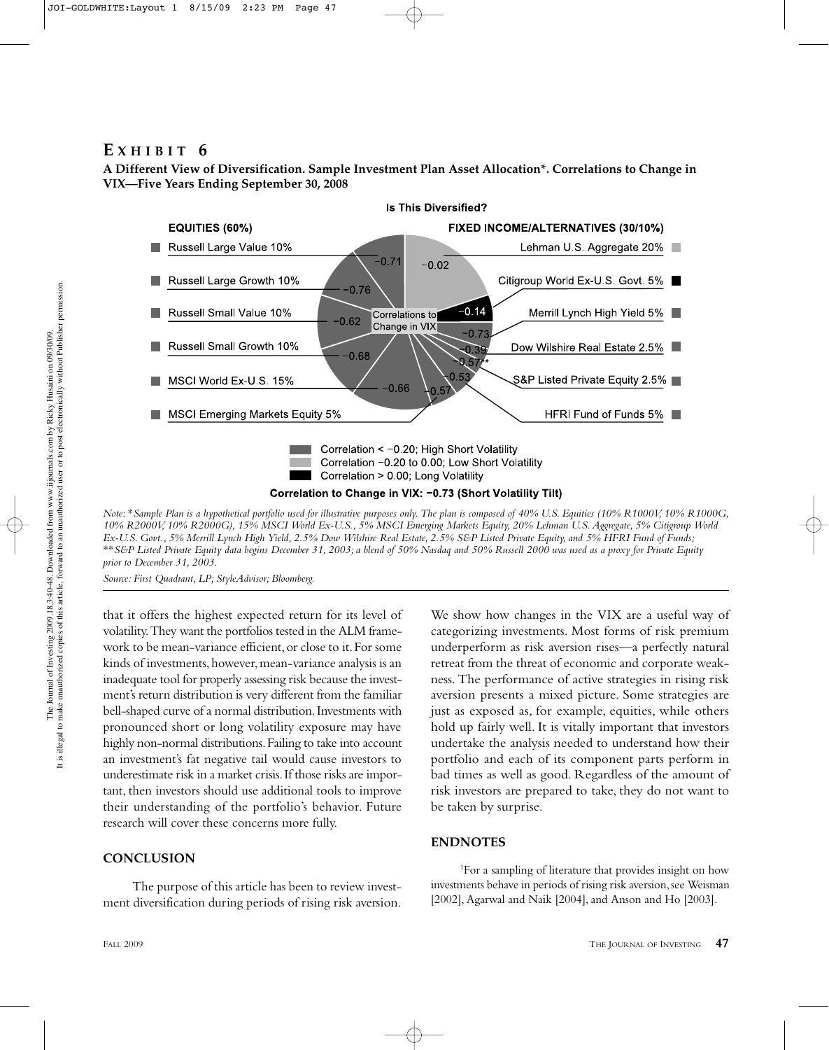# **E XHIBIT 6**

**A Different View of Diversification. Sample Investment Plan Asset Allocation\*. Correlations to Change in VIX—Five Years Ending September 30, 2008**



*10% R2000V, 10% R2000G), 15% MSCI World Ex-U.S., 5% MSCI Emerging Markets Equity, 20% Lehman U.S. Aggregate, 5% Citigroup World Ex-U.S. Govt., 5% Merrill Lynch High Yield, 2.5% Dow Wilshire Real Estate, 2.5% S&P Listed Private Equity, and 5% HFRI Fund of Funds;* \*\**S&P Listed Private Equity data begins December 31, 2003; a blend of 50% Nasdaq and 50% Russell 2000 was used as a proxy for Private Equity prior to December 31, 2003.*

*Source: First Quadrant, LP; StyleAdvisor; Bloomberg.*

that it offers the highest expected return for its level of volatility. They want the portfolios tested in the ALM framework to be mean-variance efficient, or close to it. For some kinds of investments, however, mean-variance analysis is an inadequate tool for properly assessing risk because the investment's return distribution is very different from the familiar bell-shaped curve of a normal distribution. Investments with pronounced short or long volatility exposure may have highly non-normal distributions. Failing to take into account an investment's fat negative tail would cause investors to underestimate risk in a market crisis. If those risks are important, then investors should use additional tools to improve their understanding of the portfolio's behavior. Future research will cover these concerns more fully.

## **CONCLUSION**

The purpose of this article has been to review investment diversification during periods of rising risk aversion.

We show how changes in the VIX are a useful way of categorizing investments. Most forms of risk premium underperform as risk aversion rises—a perfectly natural retreat from the threat of economic and corporate weakness. The performance of active strategies in rising risk aversion presents a mixed picture. Some strategies are just as exposed as, for example, equities, while others hold up fairly well. It is vitally important that investors undertake the analysis needed to understand how their portfolio and each of its component parts perform in bad times as well as good. Regardless of the amount of risk investors are prepared to take, they do not want to be taken by surprise.

## **ENDNOTES**

1 For a sampling of literature that provides insight on how investments behave in periods of rising risk aversion, see Weisman [2002], Agarwal and Naik [2004], and Anson and Ho [2003].